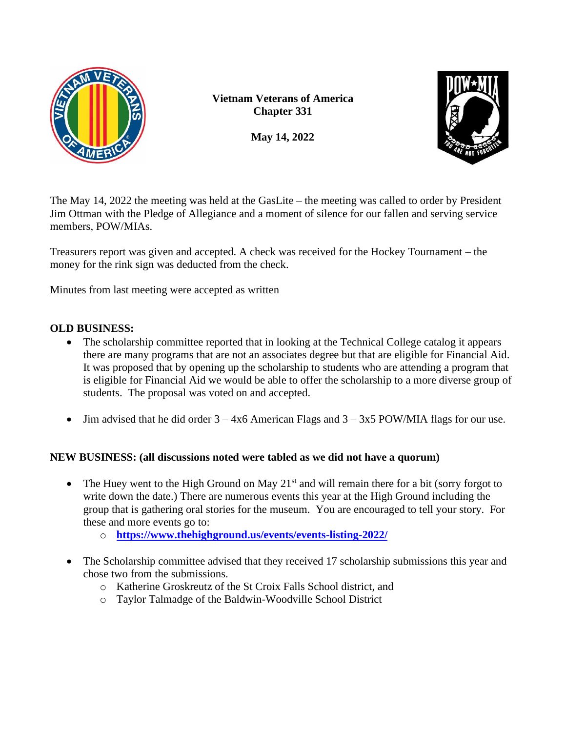

**Vietnam Veterans of America Chapter 331**

**May 14, 2022**



The May 14, 2022 the meeting was held at the GasLite – the meeting was called to order by President Jim Ottman with the Pledge of Allegiance and a moment of silence for our fallen and serving service members, POW/MIAs.

Treasurers report was given and accepted. A check was received for the Hockey Tournament – the money for the rink sign was deducted from the check.

Minutes from last meeting were accepted as written

## **OLD BUSINESS:**

- The scholarship committee reported that in looking at the Technical College catalog it appears there are many programs that are not an associates degree but that are eligible for Financial Aid. It was proposed that by opening up the scholarship to students who are attending a program that is eligible for Financial Aid we would be able to offer the scholarship to a more diverse group of students. The proposal was voted on and accepted.
- Jim advised that he did order  $3 4x6$  American Flags and  $3 3x5$  POW/MIA flags for our use.

## **NEW BUSINESS: (all discussions noted were tabled as we did not have a quorum)**

- The Huey went to the High Ground on May  $21<sup>st</sup>$  and will remain there for a bit (sorry forgot to write down the date.) There are numerous events this year at the High Ground including the group that is gathering oral stories for the museum. You are encouraged to tell your story. For these and more events go to:
	- o **<https://www.thehighground.us/events/events-listing-2022/>**
- The Scholarship committee advised that they received 17 scholarship submissions this year and chose two from the submissions.
	- o Katherine Groskreutz of the St Croix Falls School district, and
	- o Taylor Talmadge of the Baldwin-Woodville School District